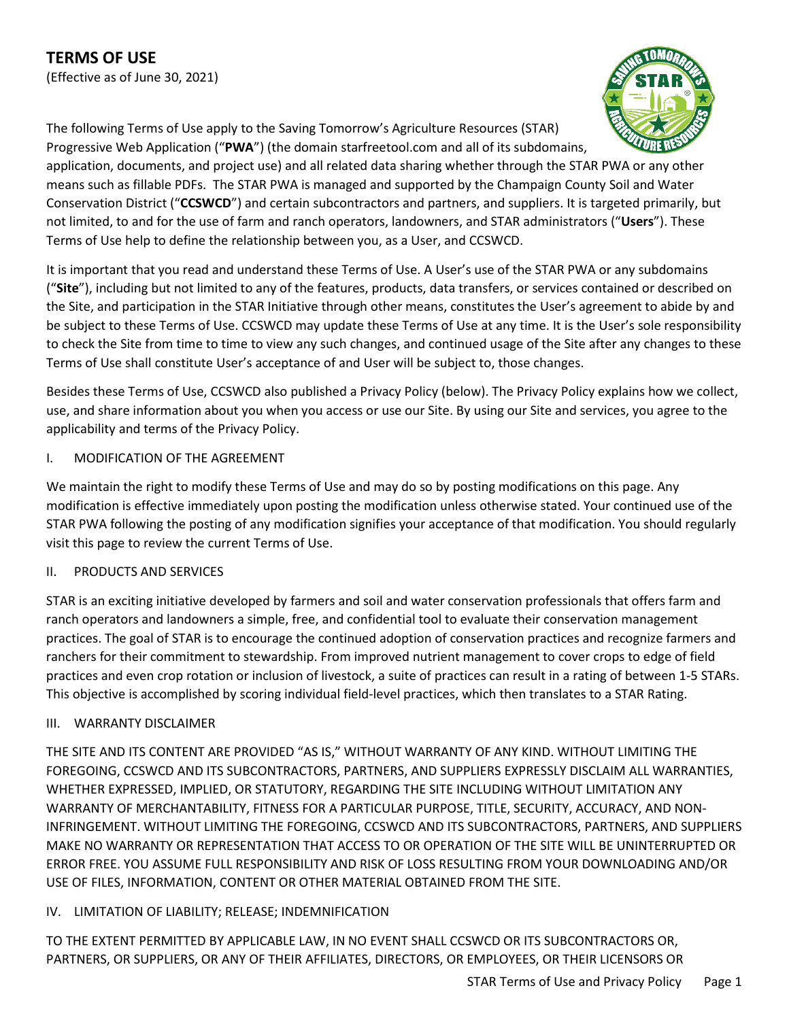The following Terms of Use apply to the Saving Tomorrow's Agriculture Resources (STAR)



Progressive Web Application ("**PWA**") (the domain starfreetool.com and all of its subdomains, application, documents, and project use) and all related data sharing whether through the STAR PWA or any other means such as fillable PDFs. The STAR PWA is managed and supported by the Champaign County Soil and Water Conservation District ("**CCSWCD**") and certain subcontractors and partners, and suppliers. It is targeted primarily, but not limited, to and for the use of farm and ranch operators, landowners, and STAR administrators ("**Users**"). These Terms of Use help to define the relationship between you, as a User, and CCSWCD.

It is important that you read and understand these Terms of Use. A User's use of the STAR PWA or any subdomains ("**Site**"), including but not limited to any of the features, products, data transfers, or services contained or described on the Site, and participation in the STAR Initiative through other means, constitutes the User's agreement to abide by and be subject to these Terms of Use. CCSWCD may update these Terms of Use at any time. It is the User's sole responsibility to check the Site from time to time to view any such changes, and continued usage of the Site after any changes to these Terms of Use shall constitute User's acceptance of and User will be subject to, those changes.

Besides these Terms of Use, CCSWCD also published a Privacy Policy (below). The Privacy Policy explains how we collect, use, and share information about you when you access or use our Site. By using our Site and services, you agree to the applicability and terms of the Privacy Policy.

# I. MODIFICATION OF THE AGREEMENT

We maintain the right to modify these Terms of Use and may do so by posting modifications on this page. Any modification is effective immediately upon posting the modification unless otherwise stated. Your continued use of the STAR PWA following the posting of any modification signifies your acceptance of that modification. You should regularly visit this page to review the current Terms of Use.

# II. PRODUCTS AND SERVICES

STAR is an exciting initiative developed by farmers and soil and water conservation professionals that offers farm and ranch operators and landowners a simple, free, and confidential tool to evaluate their conservation management practices. The goal of STAR is to encourage the continued adoption of conservation practices and recognize farmers and ranchers for their commitment to stewardship. From improved nutrient management to cover crops to edge of field practices and even crop rotation or inclusion of livestock, a suite of practices can result in a rating of between 1-5 STARs. This objective is accomplished by scoring individual field-level practices, which then translates to a STAR Rating.

# III. WARRANTY DISCLAIMER

THE SITE AND ITS CONTENT ARE PROVIDED "AS IS," WITHOUT WARRANTY OF ANY KIND. WITHOUT LIMITING THE FOREGOING, CCSWCD AND ITS SUBCONTRACTORS, PARTNERS, AND SUPPLIERS EXPRESSLY DISCLAIM ALL WARRANTIES, WHETHER EXPRESSED, IMPLIED, OR STATUTORY, REGARDING THE SITE INCLUDING WITHOUT LIMITATION ANY WARRANTY OF MERCHANTABILITY, FITNESS FOR A PARTICULAR PURPOSE, TITLE, SECURITY, ACCURACY, AND NON-INFRINGEMENT. WITHOUT LIMITING THE FOREGOING, CCSWCD AND ITS SUBCONTRACTORS, PARTNERS, AND SUPPLIERS MAKE NO WARRANTY OR REPRESENTATION THAT ACCESS TO OR OPERATION OF THE SITE WILL BE UNINTERRUPTED OR ERROR FREE. YOU ASSUME FULL RESPONSIBILITY AND RISK OF LOSS RESULTING FROM YOUR DOWNLOADING AND/OR USE OF FILES, INFORMATION, CONTENT OR OTHER MATERIAL OBTAINED FROM THE SITE.

# IV. LIMITATION OF LIABILITY; RELEASE; INDEMNIFICATION

TO THE EXTENT PERMITTED BY APPLICABLE LAW, IN NO EVENT SHALL CCSWCD OR ITS SUBCONTRACTORS OR, PARTNERS, OR SUPPLIERS, OR ANY OF THEIR AFFILIATES, DIRECTORS, OR EMPLOYEES, OR THEIR LICENSORS OR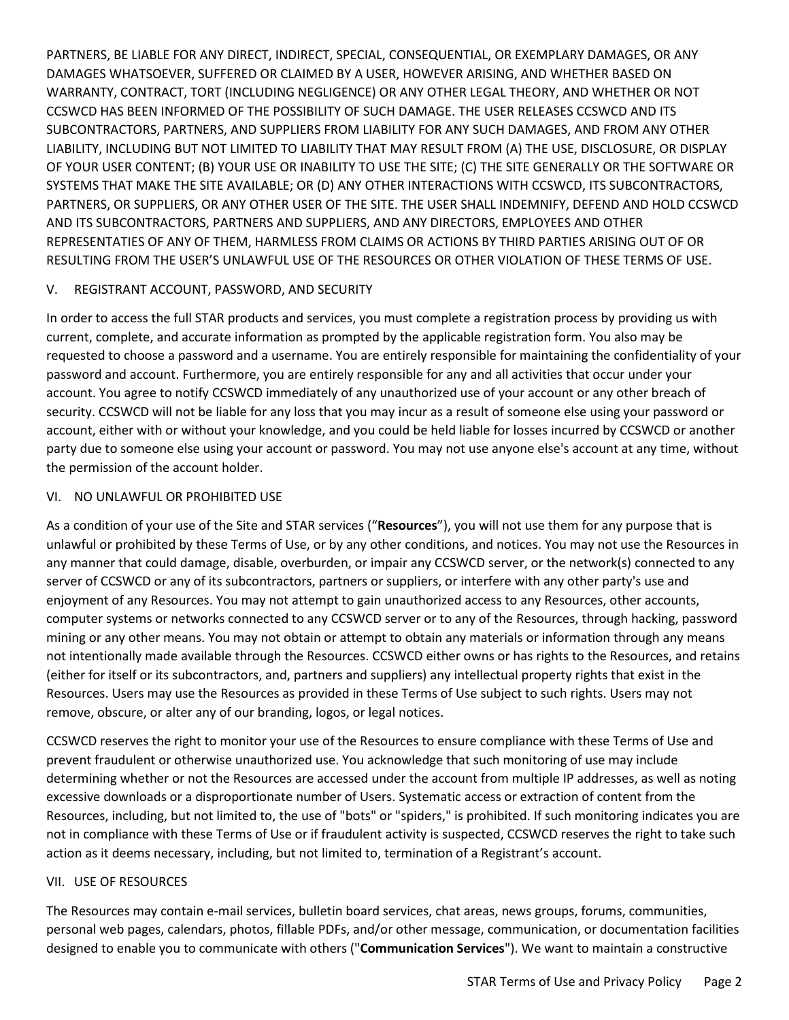PARTNERS, BE LIABLE FOR ANY DIRECT, INDIRECT, SPECIAL, CONSEQUENTIAL, OR EXEMPLARY DAMAGES, OR ANY DAMAGES WHATSOEVER, SUFFERED OR CLAIMED BY A USER, HOWEVER ARISING, AND WHETHER BASED ON WARRANTY, CONTRACT, TORT (INCLUDING NEGLIGENCE) OR ANY OTHER LEGAL THEORY, AND WHETHER OR NOT CCSWCD HAS BEEN INFORMED OF THE POSSIBILITY OF SUCH DAMAGE. THE USER RELEASES CCSWCD AND ITS SUBCONTRACTORS, PARTNERS, AND SUPPLIERS FROM LIABILITY FOR ANY SUCH DAMAGES, AND FROM ANY OTHER LIABILITY, INCLUDING BUT NOT LIMITED TO LIABILITY THAT MAY RESULT FROM (A) THE USE, DISCLOSURE, OR DISPLAY OF YOUR USER CONTENT; (B) YOUR USE OR INABILITY TO USE THE SITE; (C) THE SITE GENERALLY OR THE SOFTWARE OR SYSTEMS THAT MAKE THE SITE AVAILABLE; OR (D) ANY OTHER INTERACTIONS WITH CCSWCD, ITS SUBCONTRACTORS, PARTNERS, OR SUPPLIERS, OR ANY OTHER USER OF THE SITE. THE USER SHALL INDEMNIFY, DEFEND AND HOLD CCSWCD AND ITS SUBCONTRACTORS, PARTNERS AND SUPPLIERS, AND ANY DIRECTORS, EMPLOYEES AND OTHER REPRESENTATIES OF ANY OF THEM, HARMLESS FROM CLAIMS OR ACTIONS BY THIRD PARTIES ARISING OUT OF OR RESULTING FROM THE USER'S UNLAWFUL USE OF THE RESOURCES OR OTHER VIOLATION OF THESE TERMS OF USE.

#### V. REGISTRANT ACCOUNT, PASSWORD, AND SECURITY

In order to access the full STAR products and services, you must complete a registration process by providing us with current, complete, and accurate information as prompted by the applicable registration form. You also may be requested to choose a password and a username. You are entirely responsible for maintaining the confidentiality of your password and account. Furthermore, you are entirely responsible for any and all activities that occur under your account. You agree to notify CCSWCD immediately of any unauthorized use of your account or any other breach of security. CCSWCD will not be liable for any loss that you may incur as a result of someone else using your password or account, either with or without your knowledge, and you could be held liable for losses incurred by CCSWCD or another party due to someone else using your account or password. You may not use anyone else's account at any time, without the permission of the account holder.

#### VI. NO UNLAWFUL OR PROHIBITED USE

As a condition of your use of the Site and STAR services ("**Resources**"), you will not use them for any purpose that is unlawful or prohibited by these Terms of Use, or by any other conditions, and notices. You may not use the Resources in any manner that could damage, disable, overburden, or impair any CCSWCD server, or the network(s) connected to any server of CCSWCD or any of its subcontractors, partners or suppliers, or interfere with any other party's use and enjoyment of any Resources. You may not attempt to gain unauthorized access to any Resources, other accounts, computer systems or networks connected to any CCSWCD server or to any of the Resources, through hacking, password mining or any other means. You may not obtain or attempt to obtain any materials or information through any means not intentionally made available through the Resources. CCSWCD either owns or has rights to the Resources, and retains (either for itself or its subcontractors, and, partners and suppliers) any intellectual property rights that exist in the Resources. Users may use the Resources as provided in these Terms of Use subject to such rights. Users may not remove, obscure, or alter any of our branding, logos, or legal notices.

CCSWCD reserves the right to monitor your use of the Resources to ensure compliance with these Terms of Use and prevent fraudulent or otherwise unauthorized use. You acknowledge that such monitoring of use may include determining whether or not the Resources are accessed under the account from multiple IP addresses, as well as noting excessive downloads or a disproportionate number of Users. Systematic access or extraction of content from the Resources, including, but not limited to, the use of "bots" or "spiders," is prohibited. If such monitoring indicates you are not in compliance with these Terms of Use or if fraudulent activity is suspected, CCSWCD reserves the right to take such action as it deems necessary, including, but not limited to, termination of a Registrant's account.

#### VII. USE OF RESOURCES

The Resources may contain e-mail services, bulletin board services, chat areas, news groups, forums, communities, personal web pages, calendars, photos, fillable PDFs, and/or other message, communication, or documentation facilities designed to enable you to communicate with others ("**Communication Services**"). We want to maintain a constructive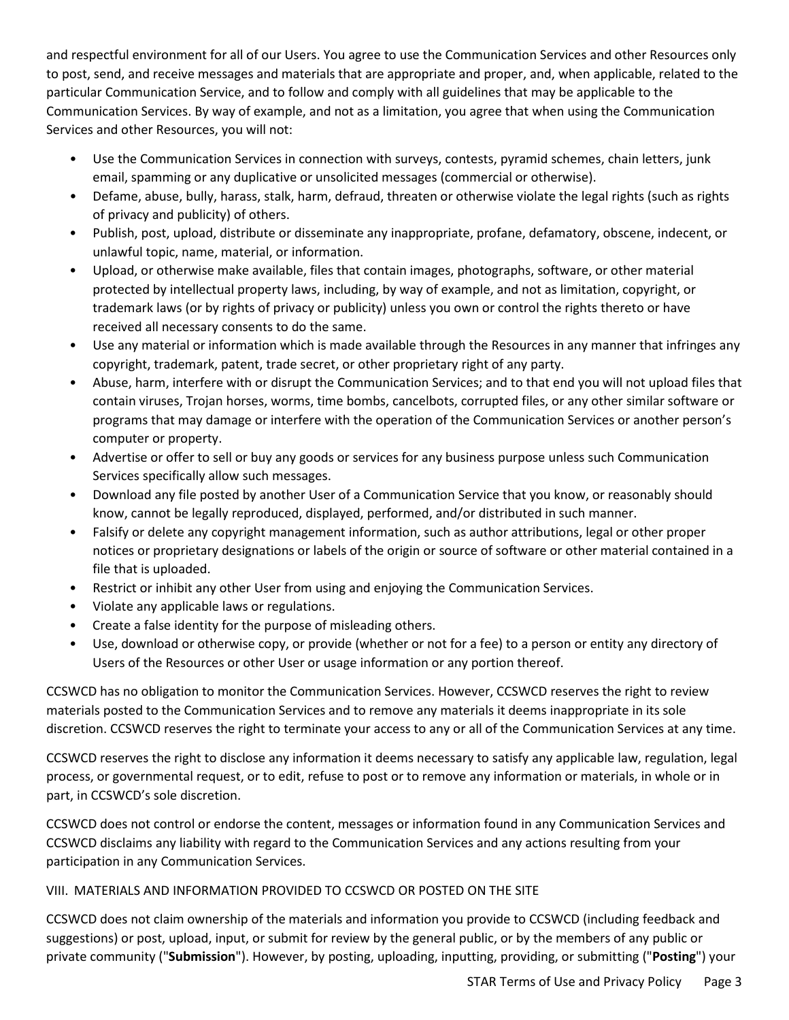and respectful environment for all of our Users. You agree to use the Communication Services and other Resources only to post, send, and receive messages and materials that are appropriate and proper, and, when applicable, related to the particular Communication Service, and to follow and comply with all guidelines that may be applicable to the Communication Services. By way of example, and not as a limitation, you agree that when using the Communication Services and other Resources, you will not:

- Use the Communication Services in connection with surveys, contests, pyramid schemes, chain letters, junk email, spamming or any duplicative or unsolicited messages (commercial or otherwise).
- Defame, abuse, bully, harass, stalk, harm, defraud, threaten or otherwise violate the legal rights (such as rights of privacy and publicity) of others.
- Publish, post, upload, distribute or disseminate any inappropriate, profane, defamatory, obscene, indecent, or unlawful topic, name, material, or information.
- Upload, or otherwise make available, files that contain images, photographs, software, or other material protected by intellectual property laws, including, by way of example, and not as limitation, copyright, or trademark laws (or by rights of privacy or publicity) unless you own or control the rights thereto or have received all necessary consents to do the same.
- Use any material or information which is made available through the Resources in any manner that infringes any copyright, trademark, patent, trade secret, or other proprietary right of any party.
- Abuse, harm, interfere with or disrupt the Communication Services; and to that end you will not upload files that contain viruses, Trojan horses, worms, time bombs, cancelbots, corrupted files, or any other similar software or programs that may damage or interfere with the operation of the Communication Services or another person's computer or property.
- Advertise or offer to sell or buy any goods or services for any business purpose unless such Communication Services specifically allow such messages.
- Download any file posted by another User of a Communication Service that you know, or reasonably should know, cannot be legally reproduced, displayed, performed, and/or distributed in such manner.
- Falsify or delete any copyright management information, such as author attributions, legal or other proper notices or proprietary designations or labels of the origin or source of software or other material contained in a file that is uploaded.
- Restrict or inhibit any other User from using and enjoying the Communication Services.
- Violate any applicable laws or regulations.
- Create a false identity for the purpose of misleading others.
- Use, download or otherwise copy, or provide (whether or not for a fee) to a person or entity any directory of Users of the Resources or other User or usage information or any portion thereof.

CCSWCD has no obligation to monitor the Communication Services. However, CCSWCD reserves the right to review materials posted to the Communication Services and to remove any materials it deems inappropriate in its sole discretion. CCSWCD reserves the right to terminate your access to any or all of the Communication Services at any time.

CCSWCD reserves the right to disclose any information it deems necessary to satisfy any applicable law, regulation, legal process, or governmental request, or to edit, refuse to post or to remove any information or materials, in whole or in part, in CCSWCD's sole discretion.

CCSWCD does not control or endorse the content, messages or information found in any Communication Services and CCSWCD disclaims any liability with regard to the Communication Services and any actions resulting from your participation in any Communication Services.

# VIII. MATERIALS AND INFORMATION PROVIDED TO CCSWCD OR POSTED ON THE SITE

CCSWCD does not claim ownership of the materials and information you provide to CCSWCD (including feedback and suggestions) or post, upload, input, or submit for review by the general public, or by the members of any public or private community ("**Submission**"). However, by posting, uploading, inputting, providing, or submitting ("**Posting**") your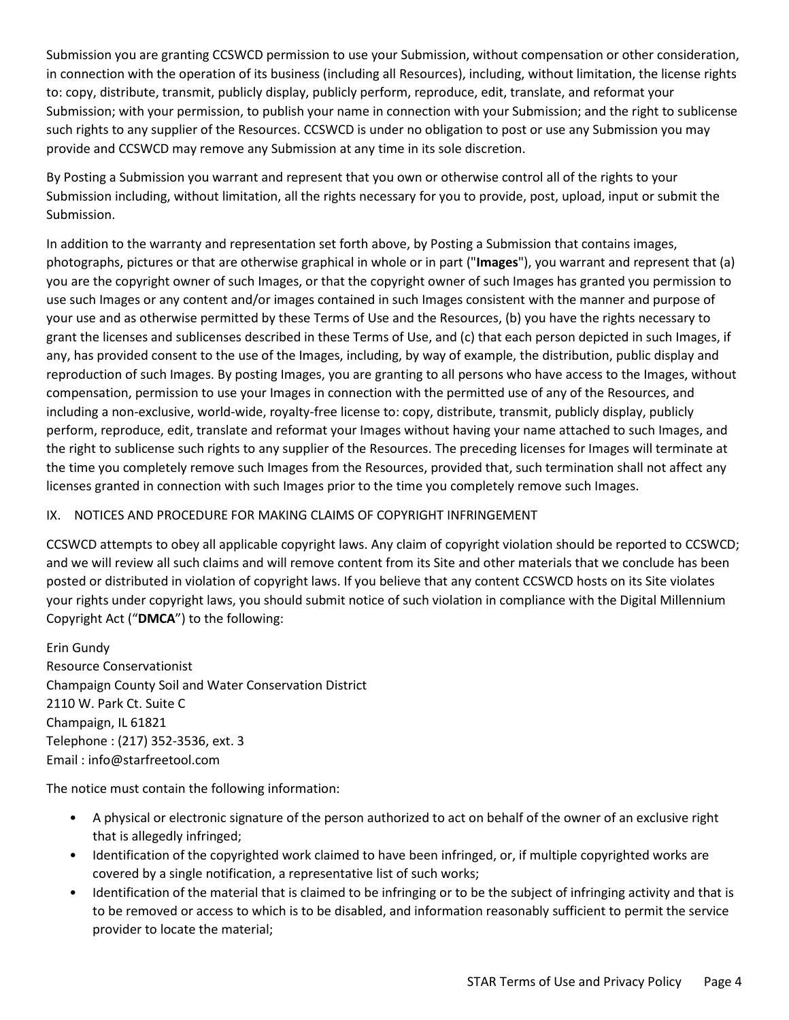Submission you are granting CCSWCD permission to use your Submission, without compensation or other consideration, in connection with the operation of its business (including all Resources), including, without limitation, the license rights to: copy, distribute, transmit, publicly display, publicly perform, reproduce, edit, translate, and reformat your Submission; with your permission, to publish your name in connection with your Submission; and the right to sublicense such rights to any supplier of the Resources. CCSWCD is under no obligation to post or use any Submission you may provide and CCSWCD may remove any Submission at any time in its sole discretion.

By Posting a Submission you warrant and represent that you own or otherwise control all of the rights to your Submission including, without limitation, all the rights necessary for you to provide, post, upload, input or submit the Submission.

In addition to the warranty and representation set forth above, by Posting a Submission that contains images, photographs, pictures or that are otherwise graphical in whole or in part ("**Images**"), you warrant and represent that (a) you are the copyright owner of such Images, or that the copyright owner of such Images has granted you permission to use such Images or any content and/or images contained in such Images consistent with the manner and purpose of your use and as otherwise permitted by these Terms of Use and the Resources, (b) you have the rights necessary to grant the licenses and sublicenses described in these Terms of Use, and (c) that each person depicted in such Images, if any, has provided consent to the use of the Images, including, by way of example, the distribution, public display and reproduction of such Images. By posting Images, you are granting to all persons who have access to the Images, without compensation, permission to use your Images in connection with the permitted use of any of the Resources, and including a non-exclusive, world-wide, royalty-free license to: copy, distribute, transmit, publicly display, publicly perform, reproduce, edit, translate and reformat your Images without having your name attached to such Images, and the right to sublicense such rights to any supplier of the Resources. The preceding licenses for Images will terminate at the time you completely remove such Images from the Resources, provided that, such termination shall not affect any licenses granted in connection with such Images prior to the time you completely remove such Images.

## IX. NOTICES AND PROCEDURE FOR MAKING CLAIMS OF COPYRIGHT INFRINGEMENT

CCSWCD attempts to obey all applicable copyright laws. Any claim of copyright violation should be reported to CCSWCD; and we will review all such claims and will remove content from its Site and other materials that we conclude has been posted or distributed in violation of copyright laws. If you believe that any content CCSWCD hosts on its Site violates your rights under copyright laws, you should submit notice of such violation in compliance with the Digital Millennium Copyright Act ("**DMCA**") to the following:

Erin Gundy Resource Conservationist Champaign County Soil and Water Conservation District 2110 W. Park Ct. Suite C Champaign, IL 61821 Telephone : (217) 352-3536, ext. 3 Email : info@starfreetool.com

The notice must contain the following information:

- A physical or electronic signature of the person authorized to act on behalf of the owner of an exclusive right that is allegedly infringed;
- Identification of the copyrighted work claimed to have been infringed, or, if multiple copyrighted works are covered by a single notification, a representative list of such works;
- Identification of the material that is claimed to be infringing or to be the subject of infringing activity and that is to be removed or access to which is to be disabled, and information reasonably sufficient to permit the service provider to locate the material;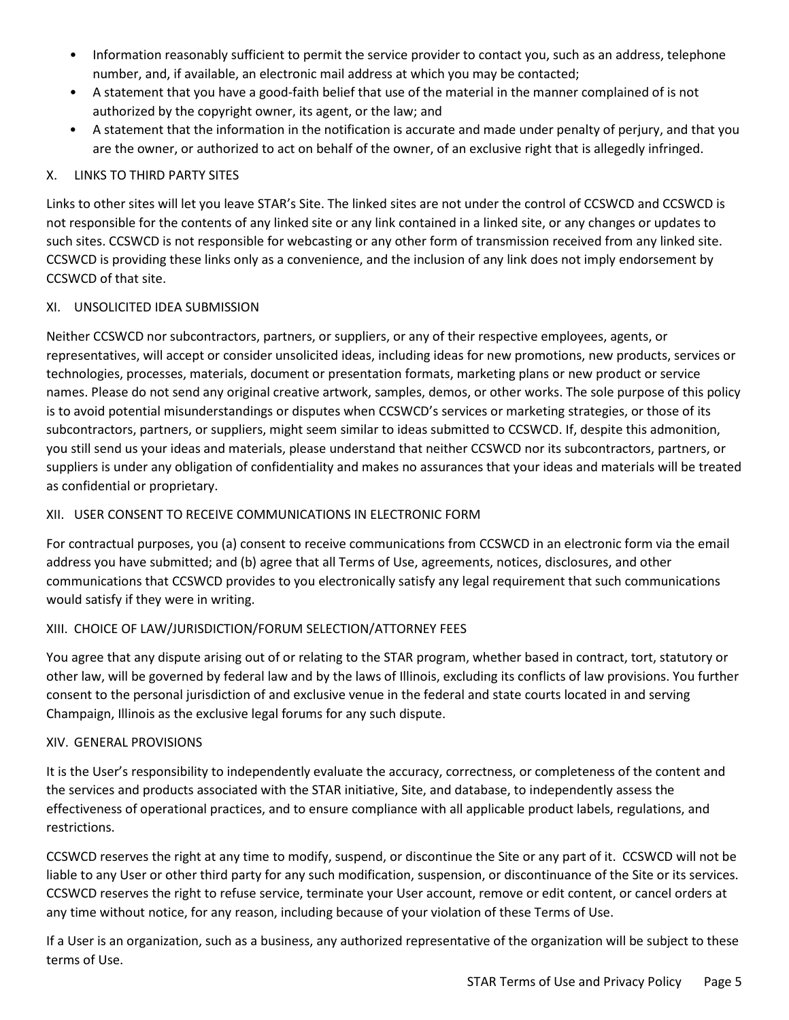- Information reasonably sufficient to permit the service provider to contact you, such as an address, telephone number, and, if available, an electronic mail address at which you may be contacted;
- A statement that you have a good-faith belief that use of the material in the manner complained of is not authorized by the copyright owner, its agent, or the law; and
- A statement that the information in the notification is accurate and made under penalty of perjury, and that you are the owner, or authorized to act on behalf of the owner, of an exclusive right that is allegedly infringed.

## X. LINKS TO THIRD PARTY SITES

Links to other sites will let you leave STAR's Site. The linked sites are not under the control of CCSWCD and CCSWCD is not responsible for the contents of any linked site or any link contained in a linked site, or any changes or updates to such sites. CCSWCD is not responsible for webcasting or any other form of transmission received from any linked site. CCSWCD is providing these links only as a convenience, and the inclusion of any link does not imply endorsement by CCSWCD of that site.

## XI. UNSOLICITED IDEA SUBMISSION

Neither CCSWCD nor subcontractors, partners, or suppliers, or any of their respective employees, agents, or representatives, will accept or consider unsolicited ideas, including ideas for new promotions, new products, services or technologies, processes, materials, document or presentation formats, marketing plans or new product or service names. Please do not send any original creative artwork, samples, demos, or other works. The sole purpose of this policy is to avoid potential misunderstandings or disputes when CCSWCD's services or marketing strategies, or those of its subcontractors, partners, or suppliers, might seem similar to ideas submitted to CCSWCD. If, despite this admonition, you still send us your ideas and materials, please understand that neither CCSWCD nor its subcontractors, partners, or suppliers is under any obligation of confidentiality and makes no assurances that your ideas and materials will be treated as confidential or proprietary.

## XII. USER CONSENT TO RECEIVE COMMUNICATIONS IN ELECTRONIC FORM

For contractual purposes, you (a) consent to receive communications from CCSWCD in an electronic form via the email address you have submitted; and (b) agree that all Terms of Use, agreements, notices, disclosures, and other communications that CCSWCD provides to you electronically satisfy any legal requirement that such communications would satisfy if they were in writing.

# XIII. CHOICE OF LAW/JURISDICTION/FORUM SELECTION/ATTORNEY FEES

You agree that any dispute arising out of or relating to the STAR program, whether based in contract, tort, statutory or other law, will be governed by federal law and by the laws of Illinois, excluding its conflicts of law provisions. You further consent to the personal jurisdiction of and exclusive venue in the federal and state courts located in and serving Champaign, Illinois as the exclusive legal forums for any such dispute.

## XIV. GENERAL PROVISIONS

It is the User's responsibility to independently evaluate the accuracy, correctness, or completeness of the content and the services and products associated with the STAR initiative, Site, and database, to independently assess the effectiveness of operational practices, and to ensure compliance with all applicable product labels, regulations, and restrictions.

CCSWCD reserves the right at any time to modify, suspend, or discontinue the Site or any part of it. CCSWCD will not be liable to any User or other third party for any such modification, suspension, or discontinuance of the Site or its services. CCSWCD reserves the right to refuse service, terminate your User account, remove or edit content, or cancel orders at any time without notice, for any reason, including because of your violation of these Terms of Use.

If a User is an organization, such as a business, any authorized representative of the organization will be subject to these terms of Use.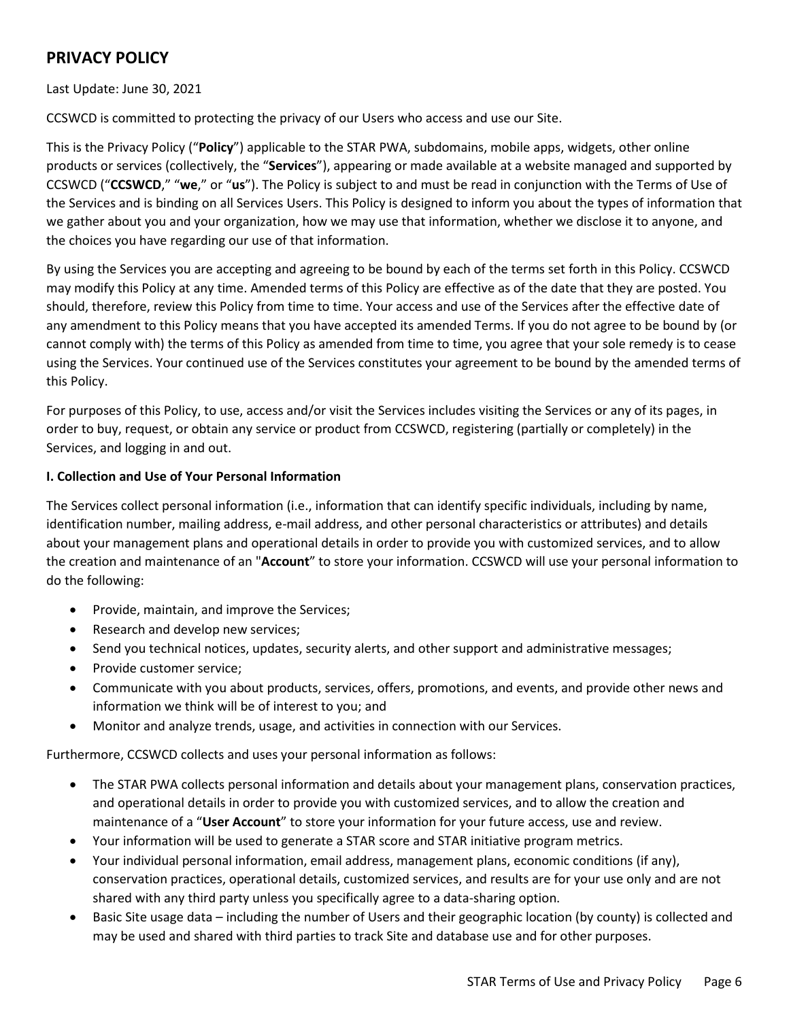# **PRIVACY POLICY**

Last Update: June 30, 2021

CCSWCD is committed to protecting the privacy of our Users who access and use our Site.

This is the Privacy Policy ("**Policy**") applicable to the STAR PWA, subdomains, mobile apps, widgets, other online products or services (collectively, the "**Services**"), appearing or made available at a website managed and supported by CCSWCD ("**CCSWCD**," "**we**," or "**us**"). The Policy is subject to and must be read in conjunction with the Terms of Use of the Services and is binding on all Services Users. This Policy is designed to inform you about the types of information that we gather about you and your organization, how we may use that information, whether we disclose it to anyone, and the choices you have regarding our use of that information.

By using the Services you are accepting and agreeing to be bound by each of the terms set forth in this Policy. CCSWCD may modify this Policy at any time. Amended terms of this Policy are effective as of the date that they are posted. You should, therefore, review this Policy from time to time. Your access and use of the Services after the effective date of any amendment to this Policy means that you have accepted its amended Terms. If you do not agree to be bound by (or cannot comply with) the terms of this Policy as amended from time to time, you agree that your sole remedy is to cease using the Services. Your continued use of the Services constitutes your agreement to be bound by the amended terms of this Policy.

For purposes of this Policy, to use, access and/or visit the Services includes visiting the Services or any of its pages, in order to buy, request, or obtain any service or product from CCSWCD, registering (partially or completely) in the Services, and logging in and out.

#### **I. Collection and Use of Your Personal Information**

The Services collect personal information (i.e., information that can identify specific individuals, including by name, identification number, mailing address, e-mail address, and other personal characteristics or attributes) and details about your management plans and operational details in order to provide you with customized services, and to allow the creation and maintenance of an "**Account**" to store your information. CCSWCD will use your personal information to do the following:

- Provide, maintain, and improve the Services;
- Research and develop new services;
- Send you technical notices, updates, security alerts, and other support and administrative messages;
- Provide customer service;
- Communicate with you about products, services, offers, promotions, and events, and provide other news and information we think will be of interest to you; and
- Monitor and analyze trends, usage, and activities in connection with our Services.

Furthermore, CCSWCD collects and uses your personal information as follows:

- The STAR PWA collects personal information and details about your management plans, conservation practices, and operational details in order to provide you with customized services, and to allow the creation and maintenance of a "**User Account**" to store your information for your future access, use and review.
- Your information will be used to generate a STAR score and STAR initiative program metrics.
- Your individual personal information, email address, management plans, economic conditions (if any), conservation practices, operational details, customized services, and results are for your use only and are not shared with any third party unless you specifically agree to a data-sharing option.
- Basic Site usage data including the number of Users and their geographic location (by county) is collected and may be used and shared with third parties to track Site and database use and for other purposes.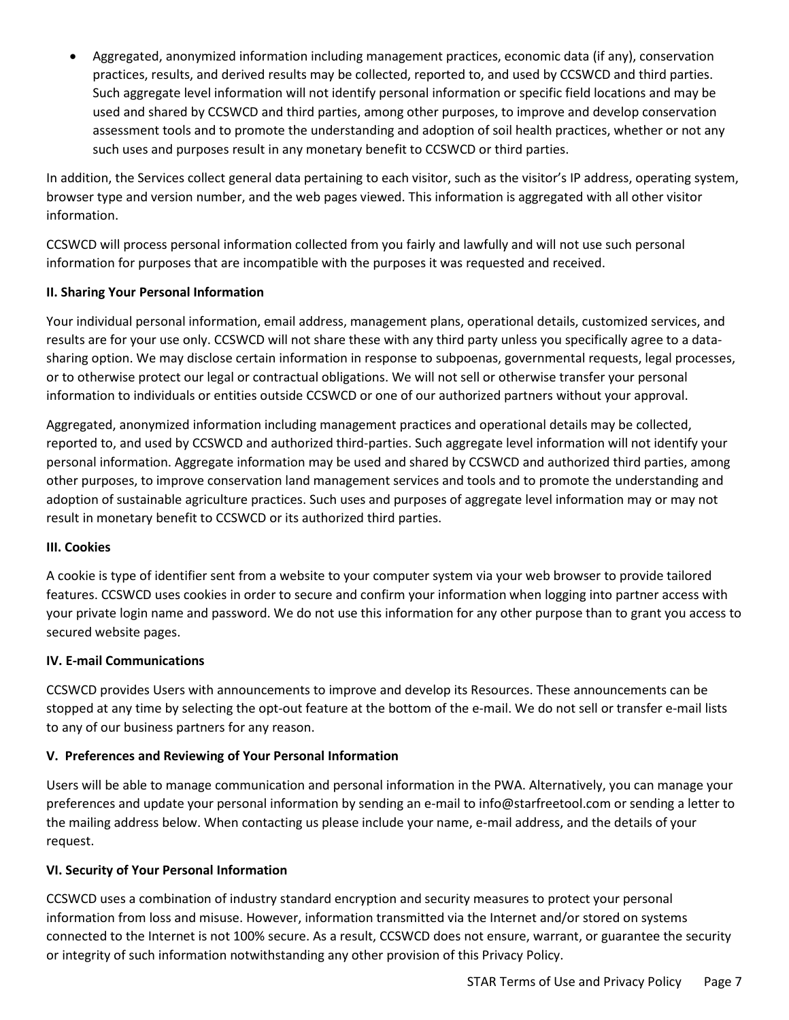• Aggregated, anonymized information including management practices, economic data (if any), conservation practices, results, and derived results may be collected, reported to, and used by CCSWCD and third parties. Such aggregate level information will not identify personal information or specific field locations and may be used and shared by CCSWCD and third parties, among other purposes, to improve and develop conservation assessment tools and to promote the understanding and adoption of soil health practices, whether or not any such uses and purposes result in any monetary benefit to CCSWCD or third parties.

In addition, the Services collect general data pertaining to each visitor, such as the visitor's IP address, operating system, browser type and version number, and the web pages viewed. This information is aggregated with all other visitor information.

CCSWCD will process personal information collected from you fairly and lawfully and will not use such personal information for purposes that are incompatible with the purposes it was requested and received.

## **II. Sharing Your Personal Information**

Your individual personal information, email address, management plans, operational details, customized services, and results are for your use only. CCSWCD will not share these with any third party unless you specifically agree to a datasharing option. We may disclose certain information in response to subpoenas, governmental requests, legal processes, or to otherwise protect our legal or contractual obligations. We will not sell or otherwise transfer your personal information to individuals or entities outside CCSWCD or one of our authorized partners without your approval.

Aggregated, anonymized information including management practices and operational details may be collected, reported to, and used by CCSWCD and authorized third-parties. Such aggregate level information will not identify your personal information. Aggregate information may be used and shared by CCSWCD and authorized third parties, among other purposes, to improve conservation land management services and tools and to promote the understanding and adoption of sustainable agriculture practices. Such uses and purposes of aggregate level information may or may not result in monetary benefit to CCSWCD or its authorized third parties.

## **III. Cookies**

A cookie is type of identifier sent from a website to your computer system via your web browser to provide tailored features. CCSWCD uses cookies in order to secure and confirm your information when logging into partner access with your private login name and password. We do not use this information for any other purpose than to grant you access to secured website pages.

## **IV. E-mail Communications**

CCSWCD provides Users with announcements to improve and develop its Resources. These announcements can be stopped at any time by selecting the opt-out feature at the bottom of the e-mail. We do not sell or transfer e-mail lists to any of our business partners for any reason.

## **V. Preferences and Reviewing of Your Personal Information**

Users will be able to manage communication and personal information in the PWA. Alternatively, you can manage your preferences and update your personal information by sending an e-mail to info@starfreetool.com or sending a letter to the mailing address below. When contacting us please include your name, e-mail address, and the details of your request.

## **VI. Security of Your Personal Information**

CCSWCD uses a combination of industry standard encryption and security measures to protect your personal information from loss and misuse. However, information transmitted via the Internet and/or stored on systems connected to the Internet is not 100% secure. As a result, CCSWCD does not ensure, warrant, or guarantee the security or integrity of such information notwithstanding any other provision of this Privacy Policy.